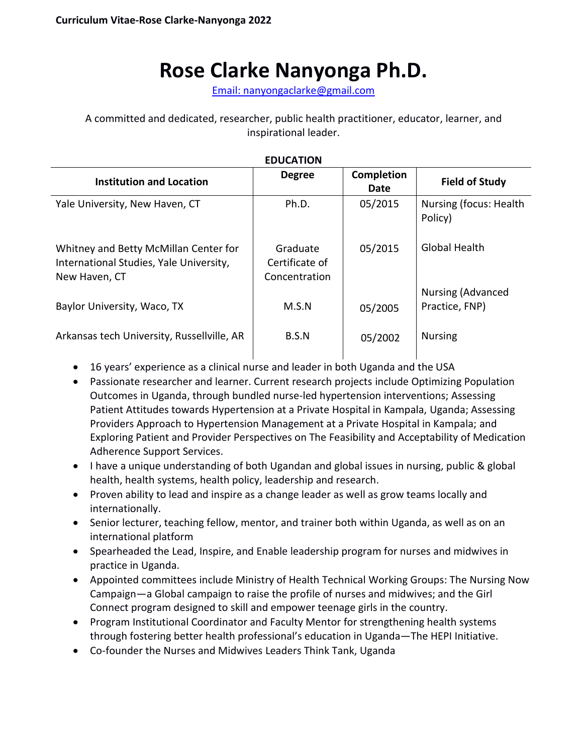# **Rose Clarke Nanyonga Ph.D.**

Email: [nanyongaclarke@gmail.com](mailto:nanyongaclarke@gmail.com)

A committed and dedicated, researcher, public health practitioner, educator, learner, and inspirational leader.

| <b>EDUCATION</b>                                                                                  |                                             |                           |                                            |
|---------------------------------------------------------------------------------------------------|---------------------------------------------|---------------------------|--------------------------------------------|
| <b>Institution and Location</b>                                                                   | <b>Degree</b>                               | <b>Completion</b><br>Date | <b>Field of Study</b>                      |
| Yale University, New Haven, CT                                                                    | Ph.D.                                       | 05/2015                   | Nursing (focus: Health<br>Policy)          |
| Whitney and Betty McMillan Center for<br>International Studies, Yale University,<br>New Haven, CT | Graduate<br>Certificate of<br>Concentration | 05/2015                   | Global Health                              |
| Baylor University, Waco, TX                                                                       | M.S.N                                       | 05/2005                   | <b>Nursing (Advanced</b><br>Practice, FNP) |
| Arkansas tech University, Russellville, AR                                                        | B.S.N                                       | 05/2002                   | <b>Nursing</b>                             |

- 16 years' experience as a clinical nurse and leader in both Uganda and the USA
- Passionate researcher and learner. Current research projects include Optimizing Population Outcomes in Uganda, through bundled nurse-led hypertension interventions; Assessing Patient Attitudes towards Hypertension at a Private Hospital in Kampala, Uganda; Assessing Providers Approach to Hypertension Management at a Private Hospital in Kampala; and Exploring Patient and Provider Perspectives on The Feasibility and Acceptability of Medication Adherence Support Services.
- I have a unique understanding of both Ugandan and global issues in nursing, public & global health, health systems, health policy, leadership and research.
- Proven ability to lead and inspire as a change leader as well as grow teams locally and internationally.
- Senior lecturer, teaching fellow, mentor, and trainer both within Uganda, as well as on an international platform
- Spearheaded the Lead, Inspire, and Enable leadership program for nurses and midwives in practice in Uganda.
- Appointed committees include Ministry of Health Technical Working Groups: The Nursing Now Campaign—a Global campaign to raise the profile of nurses and midwives; and the Girl Connect program designed to skill and empower teenage girls in the country.
- Program Institutional Coordinator and Faculty Mentor for strengthening health systems through fostering better health professional's education in Uganda—The HEPI Initiative.
- Co-founder the Nurses and Midwives Leaders Think Tank, Uganda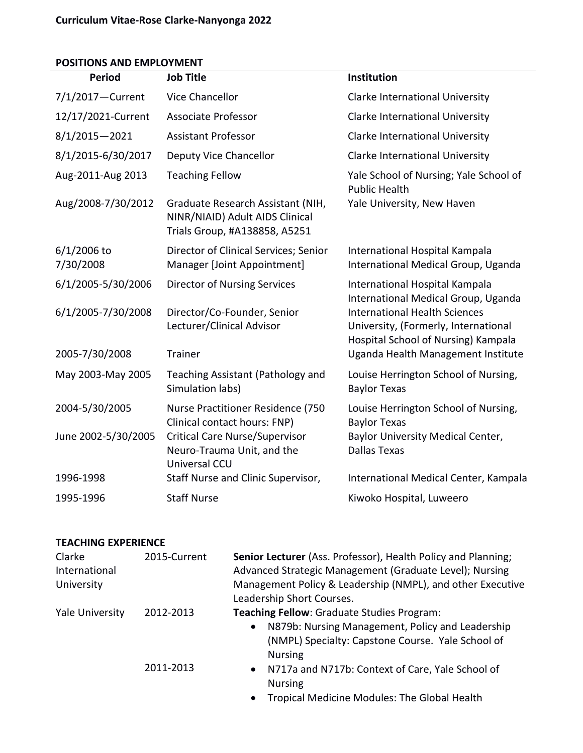## **POSITIONS AND EMPLOYMENT**

| <b>Period</b>            | <b>Job Title</b>                                                                                      | Institution                                                                                                         |
|--------------------------|-------------------------------------------------------------------------------------------------------|---------------------------------------------------------------------------------------------------------------------|
| 7/1/2017-Current         | Vice Chancellor                                                                                       | Clarke International University                                                                                     |
| 12/17/2021-Current       | <b>Associate Professor</b>                                                                            | Clarke International University                                                                                     |
| $8/1/2015 - 2021$        | <b>Assistant Professor</b>                                                                            | Clarke International University                                                                                     |
| 8/1/2015-6/30/2017       | Deputy Vice Chancellor                                                                                | Clarke International University                                                                                     |
| Aug-2011-Aug 2013        | <b>Teaching Fellow</b>                                                                                | Yale School of Nursing; Yale School of<br><b>Public Health</b>                                                      |
| Aug/2008-7/30/2012       | Graduate Research Assistant (NIH,<br>NINR/NIAID) Adult AIDS Clinical<br>Trials Group, #A138858, A5251 | Yale University, New Haven                                                                                          |
| 6/1/2006 to<br>7/30/2008 | Director of Clinical Services; Senior<br>Manager [Joint Appointment]                                  | International Hospital Kampala<br>International Medical Group, Uganda                                               |
| 6/1/2005-5/30/2006       | <b>Director of Nursing Services</b>                                                                   | International Hospital Kampala<br>International Medical Group, Uganda                                               |
| 6/1/2005-7/30/2008       | Director/Co-Founder, Senior<br>Lecturer/Clinical Advisor                                              | <b>International Health Sciences</b><br>University, (Formerly, International<br>Hospital School of Nursing) Kampala |
| 2005-7/30/2008           | <b>Trainer</b>                                                                                        | Uganda Health Management Institute                                                                                  |
| May 2003-May 2005        | Teaching Assistant (Pathology and<br>Simulation labs)                                                 | Louise Herrington School of Nursing,<br><b>Baylor Texas</b>                                                         |
| 2004-5/30/2005           | Nurse Practitioner Residence (750<br>Clinical contact hours: FNP)                                     | Louise Herrington School of Nursing,<br><b>Baylor Texas</b>                                                         |
| June 2002-5/30/2005      | <b>Critical Care Nurse/Supervisor</b><br>Neuro-Trauma Unit, and the<br>Universal CCU                  | Baylor University Medical Center,<br><b>Dallas Texas</b>                                                            |
| 1996-1998                | Staff Nurse and Clinic Supervisor,                                                                    | International Medical Center, Kampala                                                                               |
| 1995-1996                | <b>Staff Nurse</b>                                                                                    | Kiwoko Hospital, Luweero                                                                                            |

#### **TEACHING EXPERIENCE**

| Clarke<br>International | 2015-Current | Senior Lecturer (Ass. Professor), Health Policy and Planning;<br>Advanced Strategic Management (Graduate Level); Nursing |
|-------------------------|--------------|--------------------------------------------------------------------------------------------------------------------------|
| University              |              | Management Policy & Leadership (NMPL), and other Executive                                                               |
|                         |              | Leadership Short Courses.                                                                                                |
| Yale University         | 2012-2013    | Teaching Fellow: Graduate Studies Program:                                                                               |
|                         |              | N879b: Nursing Management, Policy and Leadership<br>$\bullet$<br>(NMPL) Specialty: Capstone Course. Yale School of       |
|                         |              | <b>Nursing</b>                                                                                                           |
|                         | 2011-2013    | N717a and N717b: Context of Care, Yale School of<br>$\bullet$<br><b>Nursing</b>                                          |
|                         |              | Tropical Modicino Modules: The Clobal Health                                                                             |

• Tropical Medicine Modules: The Global Health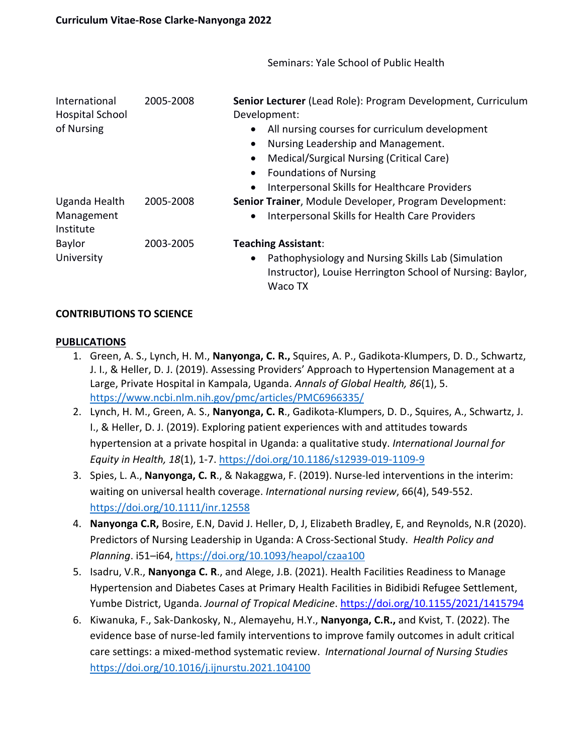International Hospital School of Nursing 2005-2008 **Senior Lecturer** (Lead Role): Program Development, Curriculum Development: • All nursing courses for curriculum development • Nursing Leadership and Management. • Medical/Surgical Nursing (Critical Care) • Foundations of Nursing • Interpersonal Skills for Healthcare Providers Uganda Health Management Institute 2005-2008 **Senior Trainer**, Module Developer, Program Development: • Interpersonal Skills for Health Care Providers Baylor University 2003-2005 **Teaching Assistant**: • Pathophysiology and Nursing Skills Lab (Simulation Instructor), Louise Herrington School of Nursing: Baylor, Waco TX

Seminars: Yale School of Public Health

## **CONTRIBUTIONS TO SCIENCE**

#### **PUBLICATIONS**

- 1. Green, A. S., Lynch, H. M., **Nanyonga, C. R.,** Squires, A. P., Gadikota-Klumpers, D. D., Schwartz, J. I., & Heller, D. J. (2019). Assessing Providers' Approach to Hypertension Management at a Large, Private Hospital in Kampala, Uganda. *Annals of Global Health, 86*(1), 5. <https://www.ncbi.nlm.nih.gov/pmc/articles/PMC6966335/>
- 2. Lynch, H. M., Green, A. S., **Nanyonga, C. R**., Gadikota-Klumpers, D. D., Squires, A., Schwartz, J. I., & Heller, D. J. (2019). Exploring patient experiences with and attitudes towards hypertension at a private hospital in Uganda: a qualitative study. *International Journal for Equity in Health, 18*(1), 1-7. <https://doi.org/10.1186/s12939-019-1109-9>
- 3. Spies, L. A., **Nanyonga, C. R**., & Nakaggwa, F. (2019). Nurse‐led interventions in the interim: waiting on universal health coverage. *International nursing review*, 66(4), 549-552. <https://doi.org/10.1111/inr.12558>
- 4. **Nanyonga C.R,** Bosire, E.N, David J. Heller, D, J, Elizabeth Bradley, E, and Reynolds, N.R (2020). Predictors of Nursing Leadership in Uganda: A Cross-Sectional Study. *Health Policy and Planning*. i51–i64,<https://doi.org/10.1093/heapol/czaa100>
- 5. Isadru, V.R., **Nanyonga C. R**., and Alege, J.B. (2021). Health Facilities Readiness to Manage Hypertension and Diabetes Cases at Primary Health Facilities in Bidibidi Refugee Settlement, Yumbe District, Uganda. *Journal of Tropical Medicine*.<https://doi.org/10.1155/2021/1415794>
- 6. Kiwanuka, F., Sak-Dankosky, N., Alemayehu, H.Y., **Nanyonga, C.R.,** and Kvist, T. (2022). The evidence base of nurse-led family interventions to improve family outcomes in adult critical care settings: a mixed-method systematic review. *International Journal of Nursing Studies* <https://doi.org/10.1016/j.ijnurstu.2021.104100>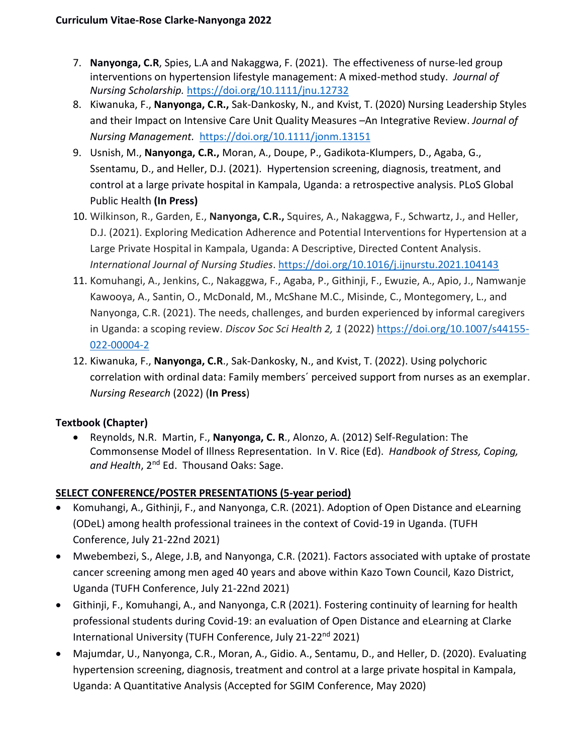- 7. **Nanyonga, C.R**, Spies, L.A and Nakaggwa, F. (2021). The effectiveness of nurse-led group interventions on hypertension lifestyle management: A mixed-method study. *Journal of Nursing Scholarship.* <https://doi.org/10.1111/jnu.12732>
- 8. Kiwanuka, F., **Nanyonga, C.R.,** Sak-Dankosky, N., and Kvist, T. (2020) Nursing Leadership Styles and their Impact on Intensive Care Unit Quality Measures –An Integrative Review. *Journal of Nursing Management.* <https://doi.org/10.1111/jonm.13151>
- 9. Usnish, M., **Nanyonga, C.R.,** Moran, A., Doupe, P., Gadikota-Klumpers, D., Agaba, G., Ssentamu, D., and Heller, D.J. (2021). Hypertension screening, diagnosis, treatment, and control at a large private hospital in Kampala, Uganda: a retrospective analysis. PLoS Global Public Health **(In Press)**
- 10. Wilkinson, R., Garden, E., **Nanyonga, C.R.,** Squires, A., Nakaggwa, F., Schwartz, J., and Heller, D.J. (2021). Exploring Medication Adherence and Potential Interventions for Hypertension at a Large Private Hospital in Kampala, Uganda: A Descriptive, Directed Content Analysis. *International Journal of Nursing Studies*.<https://doi.org/10.1016/j.ijnurstu.2021.104143>
- 11. Komuhangi, A., Jenkins, C., Nakaggwa, F., Agaba, P., Githinji, F., Ewuzie, A., Apio, J., Namwanje Kawooya, A., Santin, O., McDonald, M., McShane M.C., Misinde, C., Montegomery, L., and Nanyonga, C.R. (2021). The needs, challenges, and burden experienced by informal caregivers in Uganda: a scoping review. *Discov Soc Sci Health 2, 1* (2022) [https://doi.org/10.1007/s44155-](https://doi.org/10.1007/s44155-022-00004-2) [022-00004-2](https://doi.org/10.1007/s44155-022-00004-2)
- 12. Kiwanuka, F., **Nanyonga, C.R**., Sak-Dankosky, N., and Kvist, T. (2022). Using polychoric correlation with ordinal data: Family members´ perceived support from nurses as an exemplar. *Nursing Research* (2022) (**In Press**)

# **Textbook (Chapter)**

• Reynolds, N.R. Martin, F., **Nanyonga, C. R**., Alonzo, A. (2012) Self-Regulation: The Commonsense Model of Illness Representation. In V. Rice (Ed). *Handbook of Stress, Coping, and Health*, 2nd Ed. Thousand Oaks: Sage.

# **SELECT CONFERENCE/POSTER PRESENTATIONS (5-year period)**

- Komuhangi, A., Githinji, F., and Nanyonga, C.R. (2021). Adoption of Open Distance and eLearning (ODeL) among health professional trainees in the context of Covid-19 in Uganda. (TUFH Conference, July 21-22nd 2021)
- Mwebembezi, S., Alege, J.B, and Nanyonga, C.R. (2021). Factors associated with uptake of prostate cancer screening among men aged 40 years and above within Kazo Town Council, Kazo District, Uganda (TUFH Conference, July 21-22nd 2021)
- Githinji, F., Komuhangi, A., and Nanyonga, C.R (2021). Fostering continuity of learning for health professional students during Covid-19: an evaluation of Open Distance and eLearning at Clarke International University (TUFH Conference, July 21-22nd 2021)
- Majumdar, U., Nanyonga, C.R., Moran, A., Gidio. A., Sentamu, D., and Heller, D. (2020). Evaluating hypertension screening, diagnosis, treatment and control at a large private hospital in Kampala, Uganda: A Quantitative Analysis (Accepted for SGIM Conference, May 2020)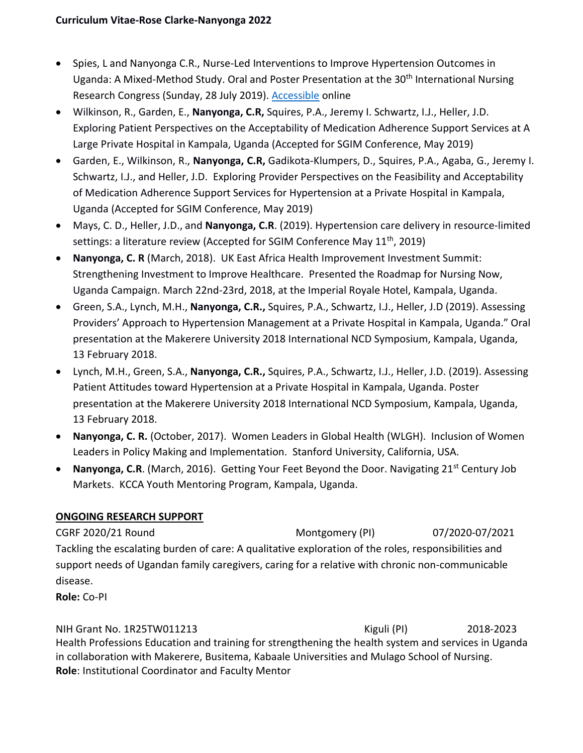- Spies, L and Nanyonga C.R., Nurse-Led Interventions to Improve Hypertension Outcomes in Uganda: A Mixed-Method Study. Oral and Poster Presentation at the 30<sup>th</sup> International Nursing Research Congress (Sunday, 28 July 2019). [Accessible](https://sigma.nursingrepository.org/bitstream/handle/10755/18242/Spies_97246_PST729_Info.pdf?sequence=2&isAllowed=y) online
- Wilkinson, R., Garden, E., **Nanyonga, C.R,** Squires, P.A., Jeremy I. Schwartz, I.J., Heller, J.D. Exploring Patient Perspectives on the Acceptability of Medication Adherence Support Services at A Large Private Hospital in Kampala, Uganda (Accepted for SGIM Conference, May 2019)
- Garden, E., Wilkinson, R., **Nanyonga, C.R,** Gadikota-Klumpers, D., Squires, P.A., Agaba, G., Jeremy I. Schwartz, I.J., and Heller, J.D. Exploring Provider Perspectives on the Feasibility and Acceptability of Medication Adherence Support Services for Hypertension at a Private Hospital in Kampala, Uganda (Accepted for SGIM Conference, May 2019)
- Mays, C. D., Heller, J.D., and **Nanyonga, C.R**. (2019). Hypertension care delivery in resource-limited settings: a literature review (Accepted for SGIM Conference May 11<sup>th</sup>, 2019)
- **Nanyonga, C. R** (March, 2018). UK East Africa Health Improvement Investment Summit: Strengthening Investment to Improve Healthcare. Presented the Roadmap for Nursing Now, Uganda Campaign. March 22nd-23rd, 2018, at the Imperial Royale Hotel, Kampala, Uganda.
- Green, S.A., Lynch, M.H., **Nanyonga, C.R.,** Squires, P.A., Schwartz, I.J., Heller, J.D (2019). Assessing Providers' Approach to Hypertension Management at a Private Hospital in Kampala, Uganda." Oral presentation at the Makerere University 2018 International NCD Symposium, Kampala, Uganda, 13 February 2018.
- Lynch, M.H., Green, S.A., **Nanyonga, C.R.,** Squires, P.A., Schwartz, I.J., Heller, J.D. (2019). Assessing Patient Attitudes toward Hypertension at a Private Hospital in Kampala, Uganda. Poster presentation at the Makerere University 2018 International NCD Symposium, Kampala, Uganda, 13 February 2018.
- **Nanyonga, C. R.** (October, 2017). Women Leaders in Global Health (WLGH). Inclusion of Women Leaders in Policy Making and Implementation. Stanford University, California, USA.
- Nanyonga, C.R. (March, 2016). Getting Your Feet Beyond the Door. Navigating 21<sup>st</sup> Century Job Markets. KCCA Youth Mentoring Program, Kampala, Uganda.

# **ONGOING RESEARCH SUPPORT**

CGRF 2020/21 Round Montgomery (PI) 07/2020-07/2021 Tackling the escalating burden of care: A qualitative exploration of the roles, responsibilities and support needs of Ugandan family caregivers, caring for a relative with chronic non‐communicable disease.

**Role:** Co-PI

NIH Grant No. 1R25TW011213 Kiguli (PI) 2018-2023 Health Professions Education and training for strengthening the health system and services in Uganda in collaboration with Makerere, Busitema, Kabaale Universities and Mulago School of Nursing. **Role**: Institutional Coordinator and Faculty Mentor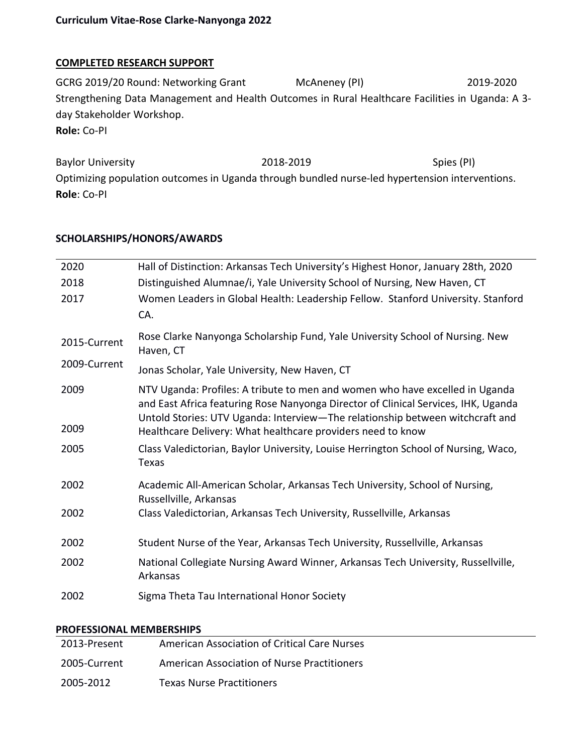#### **COMPLETED RESEARCH SUPPORT**

GCRG 2019/20 Round: Networking Grant McAneney (PI) 2019-2020 Strengthening Data Management and Health Outcomes in Rural Healthcare Facilities in Uganda: A 3 day Stakeholder Workshop. **Role:** Co-PI

Baylor University **2018-2019** 2018-2019 Optimizing population outcomes in Uganda through bundled nurse-led hypertension interventions. **Role**: Co-PI

### **SCHOLARSHIPS/HONORS/AWARDS**

| 2020         | Hall of Distinction: Arkansas Tech University's Highest Honor, January 28th, 2020                                                                                                                                                                   |
|--------------|-----------------------------------------------------------------------------------------------------------------------------------------------------------------------------------------------------------------------------------------------------|
| 2018         | Distinguished Alumnae/i, Yale University School of Nursing, New Haven, CT                                                                                                                                                                           |
| 2017         | Women Leaders in Global Health: Leadership Fellow. Stanford University. Stanford<br>CA.                                                                                                                                                             |
| 2015-Current | Rose Clarke Nanyonga Scholarship Fund, Yale University School of Nursing. New<br>Haven, CT                                                                                                                                                          |
| 2009-Current | Jonas Scholar, Yale University, New Haven, CT                                                                                                                                                                                                       |
| 2009         | NTV Uganda: Profiles: A tribute to men and women who have excelled in Uganda<br>and East Africa featuring Rose Nanyonga Director of Clinical Services, IHK, Uganda<br>Untold Stories: UTV Uganda: Interview-The relationship between witchcraft and |
| 2009         | Healthcare Delivery: What healthcare providers need to know                                                                                                                                                                                         |
| 2005         | Class Valedictorian, Baylor University, Louise Herrington School of Nursing, Waco,<br>Texas                                                                                                                                                         |
| 2002         | Academic All-American Scholar, Arkansas Tech University, School of Nursing,<br>Russellville, Arkansas                                                                                                                                               |
| 2002         | Class Valedictorian, Arkansas Tech University, Russellville, Arkansas                                                                                                                                                                               |
| 2002         | Student Nurse of the Year, Arkansas Tech University, Russellville, Arkansas                                                                                                                                                                         |
| 2002         | National Collegiate Nursing Award Winner, Arkansas Tech University, Russellville,<br>Arkansas                                                                                                                                                       |
| 2002         | Sigma Theta Tau International Honor Society                                                                                                                                                                                                         |

#### **PROFESSIONAL MEMBERSHIPS**

| 2013-Present | American Association of Critical Care Nurses |
|--------------|----------------------------------------------|
| 2005-Current | American Association of Nurse Practitioners  |
| 2005-2012    | <b>Texas Nurse Practitioners</b>             |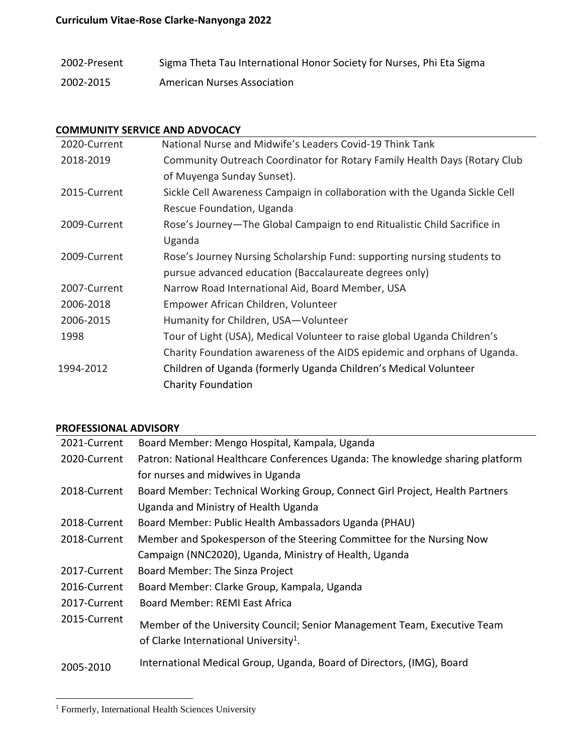## **Curriculum Vitae-Rose Clarke-Nanyonga 2022**

| 2002-Present | Sigma Theta Tau International Honor Society for Nurses, Phi Eta Sigma |
|--------------|-----------------------------------------------------------------------|
| 2002-2015    | American Nurses Association                                           |

### **COMMUNITY SERVICE AND ADVOCACY**

| 2020-Current | National Nurse and Midwife's Leaders Covid-19 Think Tank                    |
|--------------|-----------------------------------------------------------------------------|
| 2018-2019    | Community Outreach Coordinator for Rotary Family Health Days (Rotary Club   |
|              | of Muyenga Sunday Sunset).                                                  |
| 2015-Current | Sickle Cell Awareness Campaign in collaboration with the Uganda Sickle Cell |
|              | Rescue Foundation, Uganda                                                   |
| 2009-Current | Rose's Journey-The Global Campaign to end Ritualistic Child Sacrifice in    |
|              | Uganda                                                                      |
| 2009-Current | Rose's Journey Nursing Scholarship Fund: supporting nursing students to     |
|              | pursue advanced education (Baccalaureate degrees only)                      |
| 2007-Current | Narrow Road International Aid, Board Member, USA                            |
| 2006-2018    | Empower African Children, Volunteer                                         |
| 2006-2015    | Humanity for Children, USA-Volunteer                                        |
| 1998         | Tour of Light (USA), Medical Volunteer to raise global Uganda Children's    |
|              | Charity Foundation awareness of the AIDS epidemic and orphans of Uganda.    |
| 1994-2012    | Children of Uganda (formerly Uganda Children's Medical Volunteer            |
|              | <b>Charity Foundation</b>                                                   |

#### **PROFESSIONAL ADVISORY**

| 2021-Current | Board Member: Mengo Hospital, Kampala, Uganda                                  |
|--------------|--------------------------------------------------------------------------------|
| 2020-Current | Patron: National Healthcare Conferences Uganda: The knowledge sharing platform |
|              | for nurses and midwives in Uganda                                              |
| 2018-Current | Board Member: Technical Working Group, Connect Girl Project, Health Partners   |
|              | Uganda and Ministry of Health Uganda                                           |
| 2018-Current | Board Member: Public Health Ambassadors Uganda (PHAU)                          |
| 2018-Current | Member and Spokesperson of the Steering Committee for the Nursing Now          |
|              | Campaign (NNC2020), Uganda, Ministry of Health, Uganda                         |
| 2017-Current | Board Member: The Sinza Project                                                |
| 2016-Current | Board Member: Clarke Group, Kampala, Uganda                                    |
| 2017-Current | Board Member: REMI East Africa                                                 |
| 2015-Current | Member of the University Council; Senior Management Team, Executive Team       |
|              | of Clarke International University <sup>1</sup> .                              |
| 2005-2010    | International Medical Group, Uganda, Board of Directors, (IMG), Board          |

<sup>&</sup>lt;sup>1</sup> Formerly, International Health Sciences University